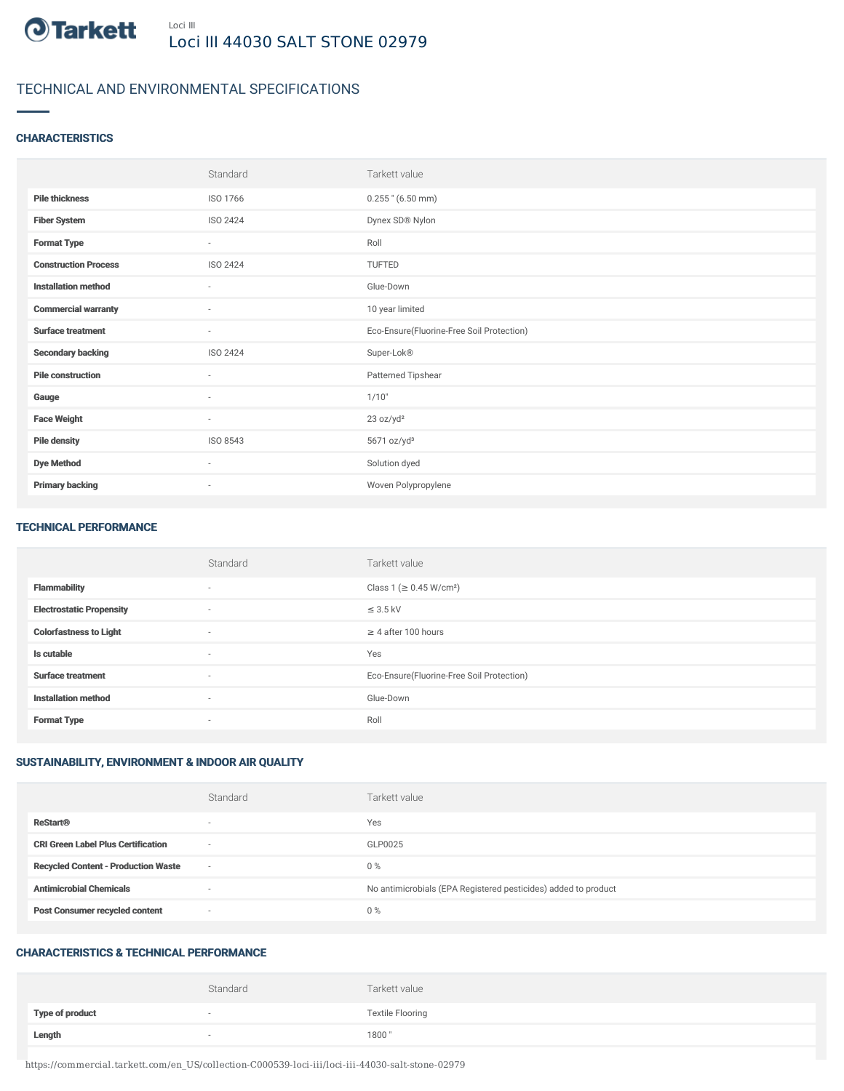

# TECHNICAL AND ENVIRONMENTAL SPECIFICATIONS

## **CHARACTERISTICS**

|                             | Standard                 | Tarkett value                             |
|-----------------------------|--------------------------|-------------------------------------------|
| <b>Pile thickness</b>       | ISO 1766                 | $0.255$ " (6.50 mm)                       |
| <b>Fiber System</b>         | ISO 2424                 | Dynex SD® Nylon                           |
| <b>Format Type</b>          | $\sim$                   | Roll                                      |
| <b>Construction Process</b> | ISO 2424                 | TUFTED                                    |
| <b>Installation method</b>  | ×                        | Glue-Down                                 |
| <b>Commercial warranty</b>  | $\overline{\phantom{a}}$ | 10 year limited                           |
| <b>Surface treatment</b>    | ٠                        | Eco-Ensure(Fluorine-Free Soil Protection) |
| <b>Secondary backing</b>    | ISO 2424                 | Super-Lok®                                |
| <b>Pile construction</b>    | $\sim$                   | Patterned Tipshear                        |
| Gauge                       | $\overline{\phantom{a}}$ | 1/10"                                     |
| <b>Face Weight</b>          | $\sim$                   | 23 oz/yd <sup>2</sup>                     |
| <b>Pile density</b>         | ISO 8543                 | 5671 oz/yd <sup>3</sup>                   |
| <b>Dye Method</b>           | $\sim$                   | Solution dyed                             |
| <b>Primary backing</b>      | $\overline{\phantom{a}}$ | Woven Polypropylene                       |

#### TECHNICAL PERFORMANCE

|                                 | Standard | Tarkett value                             |
|---------------------------------|----------|-------------------------------------------|
| <b>Flammability</b>             | $\sim$   | Class 1 (≥ 0.45 W/cm <sup>2</sup> )       |
| <b>Electrostatic Propensity</b> | $\sim$   | $\leq$ 3.5 kV                             |
| <b>Colorfastness to Light</b>   | $\sim$   | $\geq$ 4 after 100 hours                  |
| Is cutable                      | $\sim$   | Yes                                       |
| <b>Surface treatment</b>        | $\sim$   | Eco-Ensure(Fluorine-Free Soil Protection) |
| <b>Installation method</b>      | $\sim$   | Glue-Down                                 |
| <b>Format Type</b>              | $\sim$   | Roll                                      |

# SUSTAINABILITY, ENVIRONMENT & INDOOR AIR QUALITY

|                                            | Standard                 | Tarkett value                                                  |
|--------------------------------------------|--------------------------|----------------------------------------------------------------|
| <b>ReStart®</b>                            | $\overline{\phantom{a}}$ | Yes                                                            |
| <b>CRI Green Label Plus Certification</b>  | $\overline{\phantom{a}}$ | GLP0025                                                        |
| <b>Recycled Content - Production Waste</b> | $\overline{\phantom{a}}$ | $0\%$                                                          |
| <b>Antimicrobial Chemicals</b>             | <b>1999</b>              | No antimicrobials (EPA Registered pesticides) added to product |
| <b>Post Consumer recycled content</b>      | $\overline{\phantom{a}}$ | $0\%$                                                          |

#### CHARACTERISTICS & TECHNICAL PERFORMANCE

|                 | Standard | Tarkett value           |
|-----------------|----------|-------------------------|
| Type of product | $\sim$   | <b>Textile Flooring</b> |
| Length          | $\sim$   | 1800"                   |

https://commercial.tarkett.com/en\_US/collection-C000539-loci-iii/loci-iii-44030-salt-stone-02979